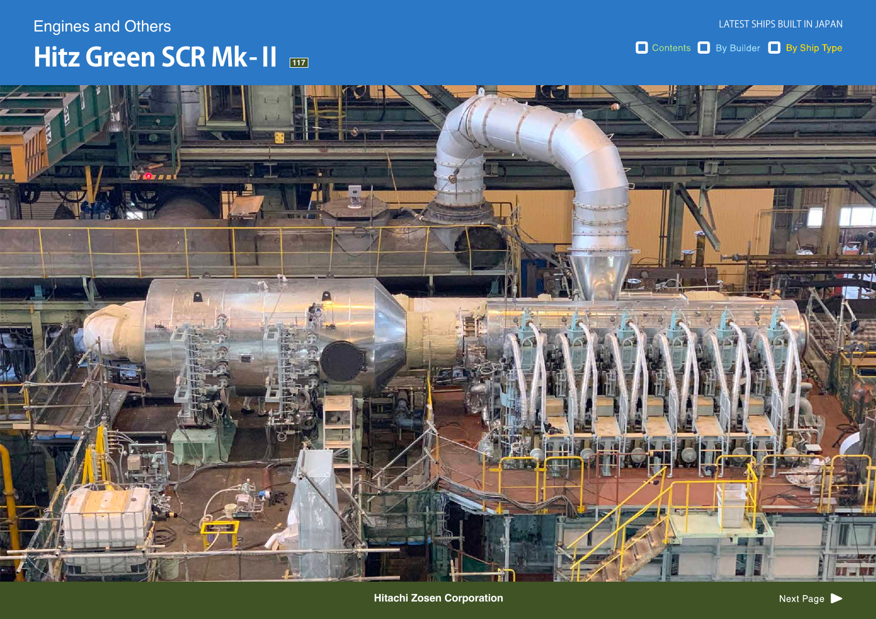# $H$ **itz Green SCR Mk-II**  $_{\text{\tiny H\!\!T}}$ **Engines and Others**

Contents By Builder By Ship Type



**Hitachi Zosen Corporation**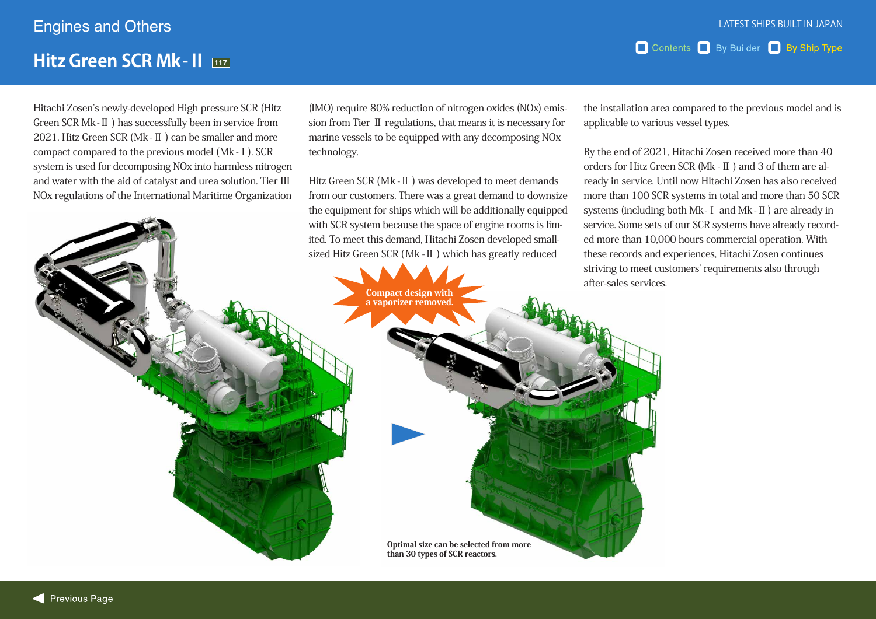### **Hitz Green SCR Mk-II**  $\overline{117}$

Hitachi Zosen's newly-developed High pressure SCR (Hitz  $G$ reen  $SCR$  Mk  $-I$  ) has successfully been in service from 2021. Hitz Green SCR (Mk -  $\mathbb{I}$ ) can be smaller and more compact compared to the previous model (Mk - I). SCR system is used for decomposing NO<sub>x</sub> into harmless nitrogen and water with the aid of catalyst and urea solution. Tier III NOx regulations of the International Maritime Organization sion from Tier  $\text{II}$  regulations, that means it is necessary for  $(MO)$  require 80% reduction of nitrogen oxides  $(NOx)$  emismarine vessels to be equipped with any decomposing NO<sub>x</sub> technology.

Hitz Green SCR (Mk - II) was developed to meet demands from our customers. There was a great demand to downsize the equipment for ships which will be additionally equipped sized Hitz Green SCR (Mk - II) which has greatly reduced ited. To meet this demand, Hitachi Zosen developed smallwith SCR system because the space of engine rooms is lim-

the installation area compared to the previous model and is applicable to various vessel types.

Contents By Builder By Ship Type

By the end of 2021, Hitachi Zosen received more than 40 ready in service. Until now Hitachi Zosen has also received orders for Hitz Green SCR ( $Mk - II$ ) and 3 of them are almore than 100 SCR systems in total and more than 50 SCR systems (including both  $Mk - I$  and  $Mk - II$ ) are already in ed more than 10,000 hours commercial operation. With service. Some sets of our SCR systems have already recordthese records and experiences, Hitachi Zosen continues striving to meet customers' requirements also through after-sales-services.